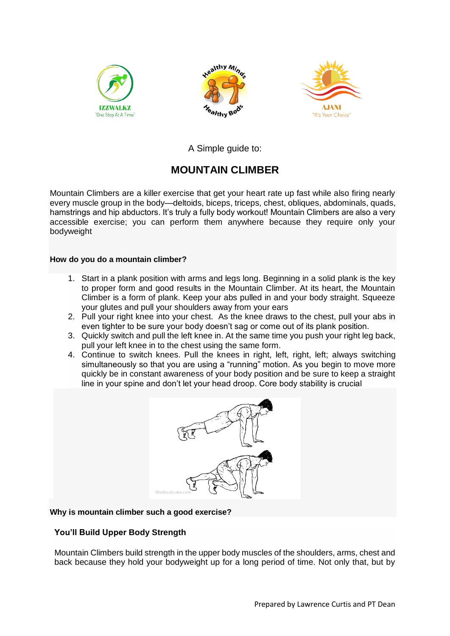





A Simple guide to:

# **MOUNTAIN CLIMBER**

Mountain Climbers are a killer exercise that get your heart rate up fast while also firing nearly every muscle group in the body—deltoids, biceps, triceps, chest, obliques, abdominals, quads, hamstrings and hip abductors. It's truly a fully body workout! Mountain Climbers are also a very accessible exercise; you can perform them anywhere because they require only your bodyweight

## **How do you do a mountain climber?**

- 1. Start in a plank position with arms and legs long. Beginning in a solid plank is the key to proper form and good results in the Mountain Climber. At its heart, the Mountain Climber is a form of plank. Keep your abs pulled in and your body straight. Squeeze your glutes and pull your shoulders away from your ears
- 2. Pull your right knee into your chest. As the knee draws to the chest, pull your abs in even tighter to be sure your body doesn't sag or come out of its plank position.
- 3. Quickly switch and pull the left knee in. At the same time you push your right leg back, pull your left knee in to the chest using the same form.
- 4. Continue to switch knees. Pull the knees in right, left, right, left; always switching simultaneously so that you are using a "running" motion. As you begin to move more quickly be in constant awareness of your body position and be sure to keep a straight line in your spine and don't let your head droop. Core body stability is crucial



## **Why is mountain climber such a good exercise?**

# **You'll Build Upper Body Strength**

Mountain Climbers build strength in the upper body muscles of the shoulders, arms, chest and back because they hold your bodyweight up for a long period of time. Not only that, but by